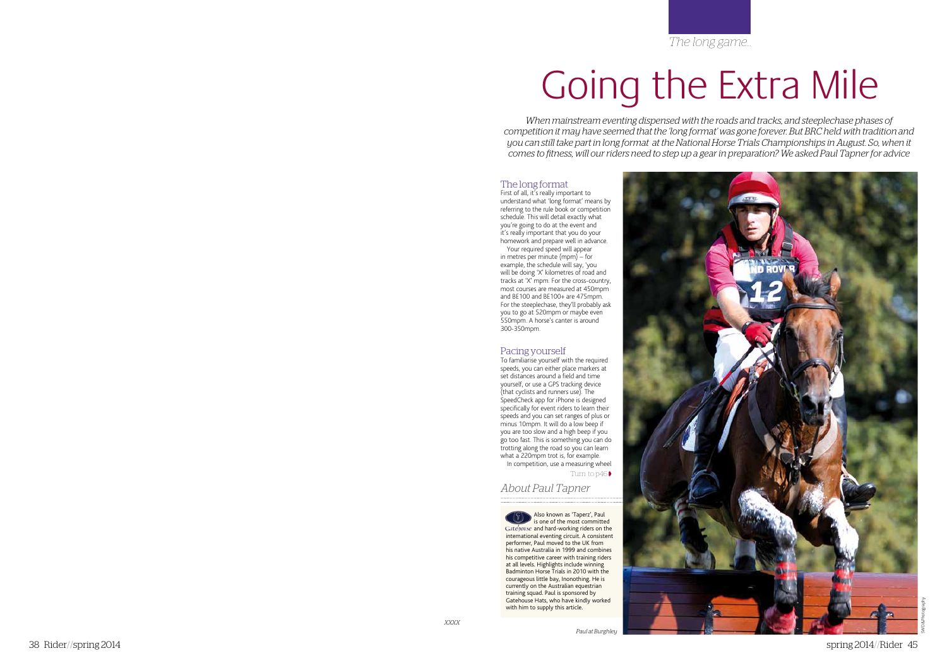*The long game...*

# Going the Extra Mile

*When mainstream eventing dispensed with the roads and tracks, and steeplechase phases of competition it may have seemed that the 'long format' was gone forever. But BRC held with tradition and you can still take part in long format at the National Horse Trials Championships in August. So, when it comes to fitness, will our riders need to step up a gear in preparation? We asked Paul Tapner for advice*

# The long format

First of all, it's really important to understand what 'long format' means by referring to the rule book or competition schedule. This will detail exactly what you're going to do at the event and it's really important that you do your homework and prepare well in advance.

Your required speed will appear in metres per minute (mpm) – for example, the schedule will say, 'you will be doing 'X' kilometres of road and tracks at 'X' mpm. For the cross-country, most courses are measured at 450mpm and BE100 and BE100+ are 475mpm. For the steeplechase, they'll probably ask you to go at 520mpm or maybe even 550mpm. A horse's canter is around 300-350mpm.

# Pacing yourself

To familiarise yourself with the required speeds, you can either place markers at set distances around a field and time yourself, or use a GPS tracking device (that cyclists and runners use). The SpeedCheck app for iPhone is designed specifically for event riders to learn their speeds and you can set ranges of plus or minus 10mpm. It will do a low beep if you are too slow and a high beep if you go too fast. This is something you can do trotting along the road so you can learn what a 220mpm trot is, for example.

In competition, use a measuring wheel Turn to p46

*About Paul Tapner*

Also known as 'Taperz', Paul is one of the most committed Gatebonse and hard-working riders on the international eventing circuit. A consistent performer, Paul moved to the UK from his native Australia in 1999 and combines his competitive career with training riders at all levels. Highlights include winning Badminton Horse Trials in 2010 with the courageous little bay, Inonothing. He is currently on the Australian equestrian training squad. Paul is sponsored by Gatehouse Hats, who have kindly worked with him to supply this article.

*Paul at Burghley*

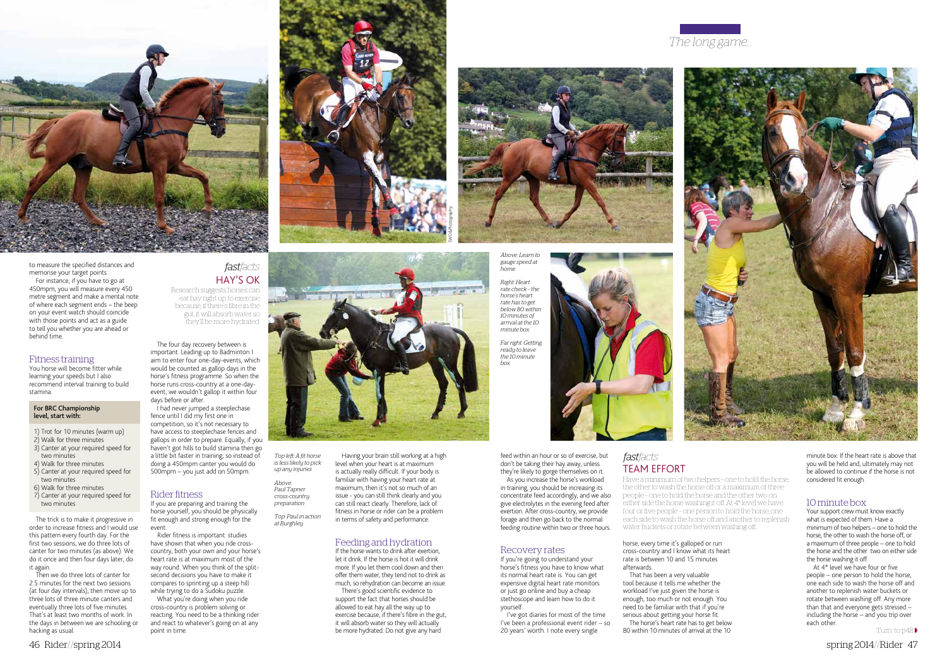minute box. If the heart rate is above that you will be held and, ultimately may not be allowed to continue if the horse is not considered fit enough.

## 10 minute box

Your support crew must know exactly what is expected of them. Have a minimum of two helpers – one to hold the horse, the other to wash the horse off, or a maximum of three people – one to hold the horse and the other two on either side the horse washing it off.

At 4\* level we have four or five people – one person to hold the horse, one each side to wash the horse off and another to replenish water buckets or rotate between washing off. Any more than that and everyone gets stressed – including the horse – and you trip over each other.

Turn to  $p48$ 



to measure the specified distances and memorise your target points. For instance, if you have to go at 450mpm, you will measure every 450

metre segment and make a mental note of where each segment ends – the beep on your event watch should coincide with those points and act as a guide to tell you whether you are ahead or behind time.

## Fitness training

You horse will become fitter while learning your speeds but I also recommend interval training to build stamina.

#### For BRC Championship level, start with:

- 1) Trot for 10 minutes (warm up)
- 2) Walk for three minutes
- 3) Canter at your required speed for two minutes 4) Walk for three minutes
- 5) Canter at your required speed for two minutes
- 6) Walk for three minutes 7) Canter at your required speed for
- two minutes

The trick is to make it progressive in order to increase fitness and I would use this pattern every fourth day. For the first two sessions, we do three lots of canter for two minutes (as above). We do it once and then four days later, do it again.

Then we do three lots of canter for 2.5 minutes for the next two sessions (at four day intervals), then move up to three lots of three minute canters and eventually three lots of five minutes. That's at least two months of work. In the days in between we are schooling or hacking as usual.

The four day recovery between is important. Leading up to Badminton I aim to enter four one-day-events, which would be counted as gallop days in the horse's fitness programme. So when the horse runs cross-country at a one-dayevent, we wouldn't gallop it within four days before or after.

I had never jumped a steeplechase fence until I did my first one in competition, so it's not necessary to have access to steeplechase fences and gallops in order to prepare. Equally, if you haven't got hills to build stamina then go a little bit faster in training; so instead of doing a 450mpm canter you would do 500mpm – you just add on 50mpm.

# Rider fitness

If you are preparing and training the horse yourself, you should be physically fit enough and strong enough for the event.

Rider fitness is important: studies have shown that when you ride crosscountry, both your own and your horse's heart rate is at maximum most of the way round. When you think of the splitsecond decisions you have to make it compares to sprinting up a steep hill while trying to do a Sudoku puzzle.

What you're doing when you ride cross-country is problem solving or reacting. You need to be a thinking rider and react to whatever's going on at any point in time.



Having your brain still working at a high level when your heart is at maximum is actually really difficult. If your body is familiar with having your heart rate at

# maximum, then it's not so much of an issue - you can still think clearly and you can still react clearly. Therefore, lack of fitness in horse or rider can be a problem in terms of safety and performance.

# Feeding and hydration

If the horse wants to drink after exertion, let it drink. If the horse is hot it will drink more. If you let them cool down and then offer them water, they tend not to drink as much, so rehydration can become an issue.

There's good scientific evidence to support the fact that horses should be allowed to eat hay all the way up to exercise because, if there's fibre in the gut, it will absorb water so they will actually be more hydrated. Do not give any hard

feed within an hour or so of exercise, but don't be taking their hay away, unless they're likely to gorge themselves on it.

As you increase the horse's workload in training, you should be increasing its concentrate feed accordingly, and we also give electrolytes in the evening feed after exertion. After cross-country, we provide forage and then go back to the normal feeding routine within two or three hours.

## Recovery rates

If you're going to understand your horse's fitness you have to know what its normal heart rate is. You can get expensive digital heart rate monitors or just go online and buy a cheap stethoscope and learn how to do it yourself.

I've got diaries for most of the time I've been a professional event rider – so 20 years' worth. I note every single

horse, every time it's galloped or run cross-country and I know what its heart rate is between 10 and 15 minutes afterwards.

That has been a very valuable tool because it tells me whether the workload I've just given the horse is enough, too much or not enough. You need to be familiar with that if you're serious about getting your horse fit.

The horse's heart rate has to get below 80 within 10 minutes of arrival at the 10

*Top left: A fit horse is less likely to pick up any injuries*

*Above: Paul Tapner cross-country preparation*

*Top: Paul in action at Burghley* 







*Above: Learn to gauge speed at home*

*Right: Heart rate check – the horse's heart rate has to get below 80 within 10 minutes of arrival at the 10 minute box*

*Far right: Getting ready to leave the 10 minute box*

Have a minimum of two helpers – one to hold the horse,

the other to wash the horse off or a maximum of three people – one to hold the horse and the other two on either side the horse washing it off. At 4\* level we have four or five people – one person to hold the horse, one each side to wash the horse off and another to replenish water buckets or rotate between washing off...

# Team effort *fastfacts*

# Hay's ok Research suggests horses can *fastfacts*

eat hay right up to exercise because, if there's fibre in the gut, it will absorb water so they'll be more hydrated.